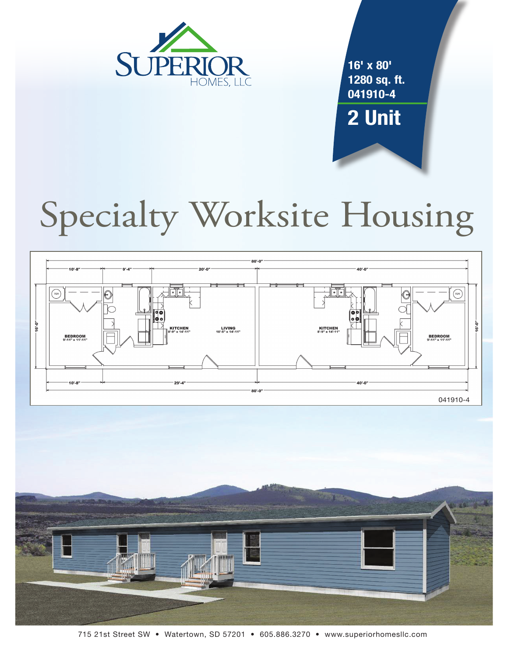

**16' x 80' 1280 sq. ft. 041910-4 2 Unit**

# Specialty Worksite Housing